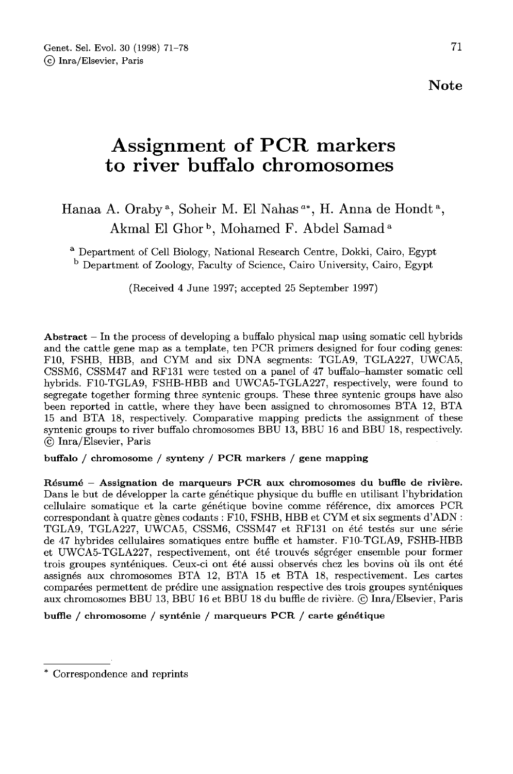# Assignment of PCR markers to river buffalo chromosomes

# Hanaa A. Oraby<sup>a</sup>, Soheir M. El Nahas<sup> $a^*$ </sup>, H. Anna de Hondt<sup>a</sup>, Akmal El Ghor<sup>b</sup>, Mohamed F. Abdel Samad<sup>a</sup>

<sup>a</sup> Department of Cell Biology, National Research Centre, Dokki, Cairo, Egypt <sup>b</sup> Department of Zoology, Faculty of Science, Cairo University, Cairo, Egypt

(Received 4 June 1997; accepted 25 September 1997)

Abstract  $-$  In the process of developing a buffalo physical map using somatic cell hybrids and the cattle gene map as a template, ten PCR primers designed for four coding genes: F10, FSHB, HBB, and CYM and six DNA segments: TGLA9, TGLA227, UWCA5, CSSM6, CSSM47 and RF131 were tested on a panel of 47 buffalo-hamster somatic cell hybrids. F10-TGLA9, FSHB-HBB and UWCA5-TGLA227, respectively, were found to segregate together forming three syntenic groups. These three syntenic groups have also been reported in cattle, where they have been assigned to chromosomes BTA 12, BTA 15 and BTA 18, respectively. Comparative mapping predicts the assignment of these syntenic groups to river buffalo chromosomes BBU 13, BBU 16 and BBU 18, respectively. © Inra/Elsevier, Paris

buffalo / chromosome / synteny / PCR markers / gene mapping

Résumé - Assignation de marqueurs PCR aux chromosomes du buffle de rivière. Dans le but de développer la carte génétique physique du buffle en utilisant l'hybridation cellulaire somatique et la carte génétique bovine comme référence, dix amorces PCR correspondant à quatre gènes codants : F10, FSHB, HBB et CYM et six segments d'ADN : TGLA9, TGLA227, UWCA5, CSSM6, CSSM47 et RF131 on été testés sur une série de 47 hybrides cellulaires somatiques entre buffle et hamster. F10-TGLA9, FSHB-HBB et UWCA5-TGLA227, respectivement, ont été trouvés ségréger ensemble pour former trois groupes synténiques. Ceux-ci ont été aussi observés chez les bovins où ils ont été assignés aux chromosomes BTA 12, BTA 15 et BTA 18, respectivement. Les cartes aux chromosomes BBU 13, BBU 16 et BBU 18 du buffle de rivière. @ Inra/Elsevier, Paris

bufHe / chromosome / synténie / marqueurs PCR / carte génétique

<sup>\*</sup> Correspondence and reprints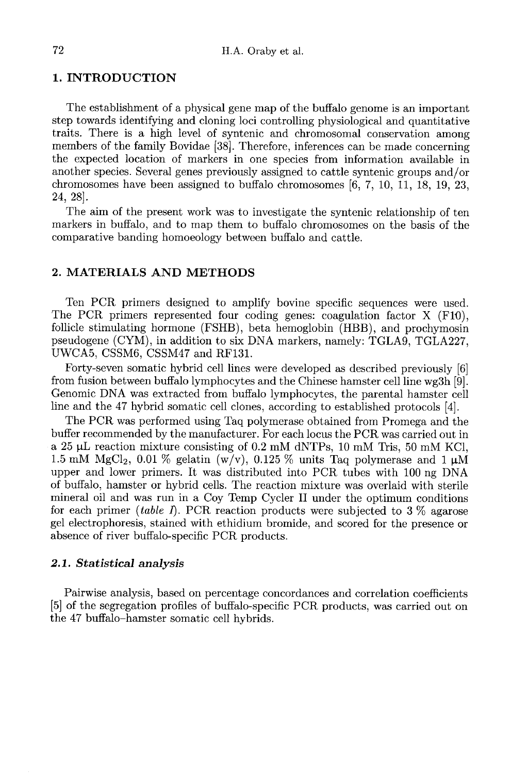## 1. INTRODUCTION

The establishment of a physical gene map of the buffalo genome is an important step towards identifying and cloning loci controlling physiological and quantitative traits. There is a high level of syntenic and chromosomal conservation among members of the family Bovidae [38]. Therefore, inferences can be made concerning the expected location of markers in one species from information available in another species. Several genes previously assigned to cattle syntenic groups and/or chromosomes have been assigned to buffalo chromosomes [6, 7, 10, 11, 18, 19, 23, 24, 28].

The aim of the present work was to investigate the syntenic relationship of ten markers in buffalo, and to map them to buffalo chromosomes on the basis of the comparative banding homoeology between buffalo and cattle.

# 2. MATERIALS AND METHODS

Ten PCR primers designed to amplify bovine specific sequences were used. The PCR primers represented four coding genes: coagulation factor X (F10), follicle stimulating hormone (FSHB), beta hemoglobin (HBB), and prochymosin pseudogene (CYM), in addition to six DNA markers, namely: TGLA9, TGLA227, UWCA5, CSSM6, CSSM47 and RF131.

Forty-seven somatic hybrid cell lines were developed as described previously [6] from fusion between buffalo lymphocytes and the Chinese hamster cell line wg3h [9]. Genomic DNA was extracted from buffalo lymphocytes, the parental hamster cell line and the 47 hybrid somatic cell clones, according to established protocols [4].

The PCR was performed using Taq polymerase obtained from Promega and the buffer recommended by the manufacturer. For each locus the PCR was carried out in a 25  $\mu$ L reaction mixture consisting of 0.2 mM dNTPs, 10 mM Tris, 50 mM KCl, 1.5 mM MgCl<sub>2</sub>, 0.01 % gelatin (w/v), 0.125 % units Taq polymerase and 1  $\mu$ M The PCR was performed using Taq polymerase obtained from Promega and the<br>buffer recommended by the manufacturer. For each locus the PCR was carried out in<br>a 25  $\mu$ L reaction mixture consisting of 0.2 mM dNTPs, 10 mM Tris upper and lower primers. It was distributed into PCR tubes with 100 ng DNA of buffalo, hamster or hybrid cells. The reaction mixture was overlaid with sterile mineral oil and was run in a Coy Temp Cycler II under the optimum conditions for each primer *(table I)*. PCR reaction products were subjected to  $3\%$  agarose gel electrophoresis, stained with ethidium bromide, and scored for the presence or absence of river buffalo-specific PCR products.

#### 2.1. Statistical analysis

Pairwise analysis, based on percentage concordances and correlation coefficients [5] of the segregation profiles of buffalo-specific PCR products, was carried out on the 47 buffalo-hamster somatic cell hybrids.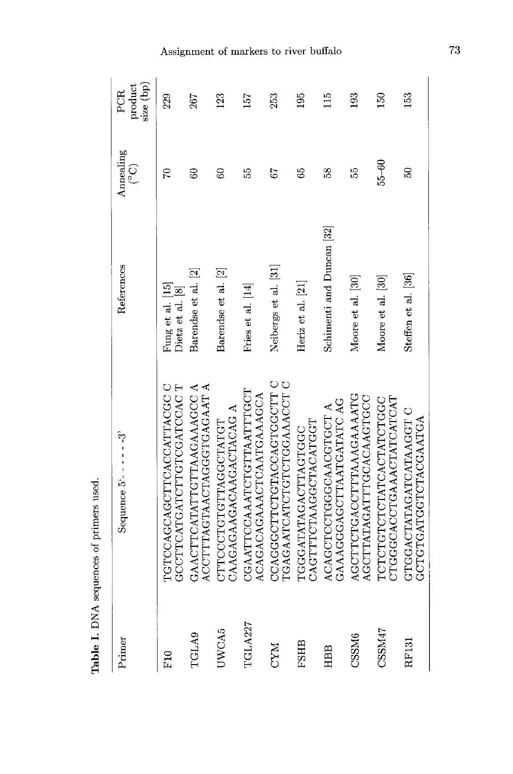| Primer     | Sequence $5'$ - - - - - - 3'                           | References                                                    | Annealing<br>$\binom{O}{\infty}$ | size (bp)<br>product<br>PCR |
|------------|--------------------------------------------------------|---------------------------------------------------------------|----------------------------------|-----------------------------|
| F10        | U OUCHOCACONOMENTE C<br>GCCHOCATCATHONADHADHEO         | Fung et al. $\left[ 15\right]$ Dietz et al. $\left[ 8\right]$ | 92                               | 229                         |
| TGLA9      | ACCTTRAGTAACTAGGTGAGAAT A<br>GAACTTCATATTGTTAAGAAAGCCA | Barendse et al. [2]                                           | $\mathbb{S}^2$                   | 267                         |
| UWCA5      | CAAGAAGACAAGACTACAG A<br>CTTCCCTGTTAGGCTATGT           | Barendse et al. [2]                                           | 8                                | 123                         |
| TGLA227    | CGAATTCCAAATCTGTTAATTTGCT<br>ACAGACAGAAACTCAATGAAAGCA  | Fries et al. [14]                                             | 15                               | 157                         |
| <b>NAO</b> | U HUUUHUKUUKHUHUUUUUKUU<br>TGAGAATCATCTOTOGAAACCT      | Neibergs et al. [31]                                          | 59                               | 253                         |
| FSHB       | CAGTTFCTAAGGTACATGGT<br>TGGGATATAGTTAGTGGC             | Heriz et al. $[21]$                                           | 89                               | 195                         |
| HBB        | GAAAGGGAGCTTAATGATATC AG<br>ACAGCTCCTGAACGTGCTA        | Schimenti and Duncan <sup>[32]</sup>                          | 58                               | $\frac{5}{11}$              |
| CSSM6      | AGCTTCTGACCTTTAAAGAAAATG<br>AGCTTATAGATTGAAAAGTGC      | Moore et al. [30]                                             | 55                               | 193                         |
| CSSM47     | CTGGGGAAAAAATCATCAT<br>TCTCTGTCTATCACTATCTGC           | Moore et al. [30]                                             | $55 - 60$                        | 50                          |
| RF131      | GTGGACTATAGATCATAAGGT C<br>GCTGHCTGEORATGA             | Steffen et al. [36]                                           | 50                               | 153                         |

Table I. DNA sequences of primers used.

Assignment of markers to river buffalo  $\,$ 

 $\overline{73}$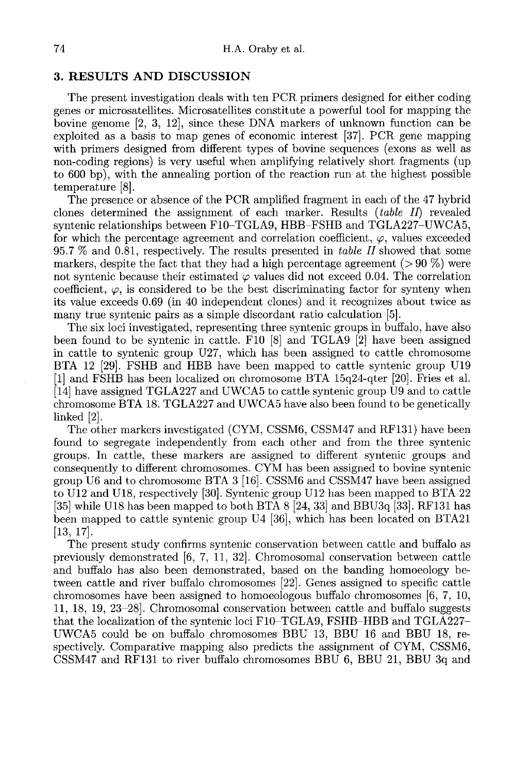## 3. RESULTS AND DISCUSSION

The present investigation deals with ten PCR primers designed for either coding genes or microsatellites. Microsatellites constitute a powerful tool for mapping the bovine genome [2, 3, 12], since these DNA markers of unknown function can be exploited as a basis to map genes of economic interest [37]. PCR gene mapping with primers designed from different types of bovine sequences (exons as well as non-coding regions) is very useful when amplifying relatively short fragments (up to 600 bp), with the annealing portion of the reaction run at the highest possible temperature [8].

The presence or absence of the PCR amplified fragment in each of the 47 hybrid clones determined the assignment of each marker. Results (table II) revealed syntenic relationships between F10-TGLA9, HBB-FSHB and TGLA227-UWCA5, for which the percentage agreement and correlation coefficient,  $\varphi$ , values exceeded 95.7 % and 0.81, respectively. The results presented in table II showed that some markers, despite the fact that they had a high percentage agreement ( $> 90\%$ ) were not syntenic because their estimated  $\varphi$  values did not exceed 0.04. The correlation coefficient,  $\varphi$ , is considered to be the best discriminating factor for synteny when its value exceeds 0.69 (in 40 independent clones) and it recognizes about twice as many true syntenic pairs as a simple discordant ratio calculation [5].

The six loci investigated, representing three syntenic groups in buffalo, have also been found to be syntenic in cattle. F10 [8] and TGLA9 [2] have been assigned in cattle to syntenic group U27, which has been assigned to cattle chromosome BTA 12 [29]. FSHB and HBB have been mapped to cattle syntenic group U19 [1] and FSHB has been localized on chromosome BTA 15q24-qter [20]. Fries et al. [14] have assigned TGLA227 and UWCA5 to cattle syntenic group U9 and to cattle chromosome BTA 18. TGLA227 and UWCA5 have also been found to be genetically linked [2].

The other markers investigated (CYM, CSSM6, CSSM47 and RF131) have been found to segregate independently from each other and from the three syntenic groups. In cattle, these markers are assigned to different syntenic groups and consequently to different chromosomes. CYM has been assigned to bovine syntenic group U6 and to chromosome BTA 3 [16]. CSSM6 and CSSM47 have been assigned to U12 and U18, respectively [30]. Syntenic group U12 has been mapped to BTA 22 [35] while U18 has been mapped to both BTA 8 [24, 33] and BBU3q [33]. RF131 has been mapped to cattle syntenic group U4 [36], which has been located on BTA21 [13, 17].

The present study confirms syntenic conservation between cattle and buffalo as previously demonstrated [6, 7, 11, 32]. Chromosomal conservation between cattle and buffalo has also been demonstrated, based on the banding homoeology between cattle and river buffalo chromosomes [22]. Genes assigned to specific cattle chromosomes have been assigned to homoeologous buffalo chromosomes [6, 7, 10, 11, 18, 19, 23-28]. Chromosomal conservation between cattle and buffalo suggests that the localization of the syntenic loci F10-TGLA9, FSHB-HBB and TGLA227- UWCA5 could be on buffalo chromosomes BBU 13, BBU 16 and BBU 18, respectively. Comparative mapping also predicts the assignment of CYM, CSSM6, CSSM47 and RF131 to river buffalo chromosomes BBU 6, BBU 21, BBU 3q and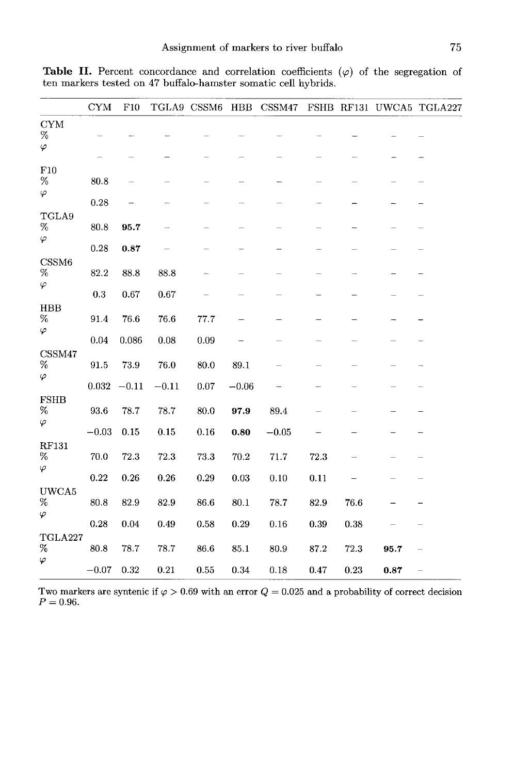|                                              | <b>CYM</b>          | F10        |          | TGLA9 CSSM6 |            | HBB CSSM47 |      |      |      | FSHB RF131 UWCA5 TGLA227 |
|----------------------------------------------|---------------------|------------|----------|-------------|------------|------------|------|------|------|--------------------------|
| <b>CYM</b><br>$\%$<br>$\varphi$              |                     |            |          |             |            |            |      |      |      |                          |
|                                              |                     |            |          |             |            |            |      |      |      |                          |
| F10<br>$\%$<br>$\varphi$                     | 80.8                |            |          |             |            |            |      |      |      |                          |
|                                              | 0.28                |            |          |             |            |            |      |      |      |                          |
| TGLA9<br>$\%$<br>$\varphi$                   | 80.8                | 95.7       |          |             |            |            |      |      |      |                          |
|                                              | 0.28                | 0.87       |          |             |            |            |      |      |      |                          |
| CSSM <sub>6</sub><br>$\%$<br>$\varphi$       | 82.2                | 88.8       | 88.8     |             |            |            |      |      |      |                          |
|                                              | $\rm 0.3$           | 0.67       | 0.67     |             |            |            |      |      |      |                          |
| <b>HBB</b><br>$\%$<br>$\varphi$              | 91.4                | 76.6       | 76.6     | 77.7        |            |            |      |      |      |                          |
|                                              | $\rm 0.04$          | 0.086      | 0.08     | 0.09        |            |            |      |      |      |                          |
| CSSM47<br>$\%$<br>$\varphi$                  | $\boldsymbol{91.5}$ | 73.9       | 76.0     | 80.0        | 89.1       |            |      |      |      |                          |
|                                              | 0.032               | $-0.11$    | $-0.11$  | 0.07        | $-0.06$    |            |      |      |      |                          |
| <b>FSHB</b><br>%<br>$\varphi$                | 93.6                | 78.7       | 78.7     | 80.0        | 97.9       | 89.4       |      |      |      |                          |
|                                              |                     |            |          |             |            |            |      |      |      |                          |
|                                              | $-0.03$             | 0.15       | 0.15     | 0.16        | 0.80       | $-0.05$    |      |      |      |                          |
| RF131<br>%<br>$\varphi$                      | 70.0                | 72.3       | 72.3     | 73.3        | 70.2       | 71.7       | 72.3 |      |      |                          |
|                                              | 0.22                | $\rm 0.26$ | 0.26     | $\rm 0.29$  | 0.03       | 0.10       | 0.11 |      |      |                          |
| UWCA5<br>%                                   | 80.8                | 82.9       | 82.9     | 86.6        | 80.1       | 78.7       | 82.9 | 76.6 |      |                          |
| φ                                            | 0.28                | 0.04       | 0.49     | 0.58        | 0.29       | 0.16       | 0.39 | 0.38 |      |                          |
| TGLA227                                      |                     |            |          |             |            |            |      |      |      |                          |
| $% \mathcal{R} \rightarrow \mathcal{R}$<br>φ | 80.8                | 78.7       | 78.7     | 86.6        | 85.1       | 80.9       | 87.2 | 72.3 | 95.7 | ÷                        |
|                                              | $\!-0.07$           | 0.32       | $0.21\,$ | 0.55        | $\rm 0.34$ | 0.18       | 0.47 | 0.23 | 0.87 | $\qquad \qquad -$        |

Table II. Percent concordance and correlation coefficients  $(\varphi)$  of the segregation of ten markers tested on 47 buffalo-hamster somatic cell hybrids.

Two markers are syntenic if  $\varphi > 0.69$  with an error  $Q = 0.025$  and a probability of correct decision  $P = 0.96.$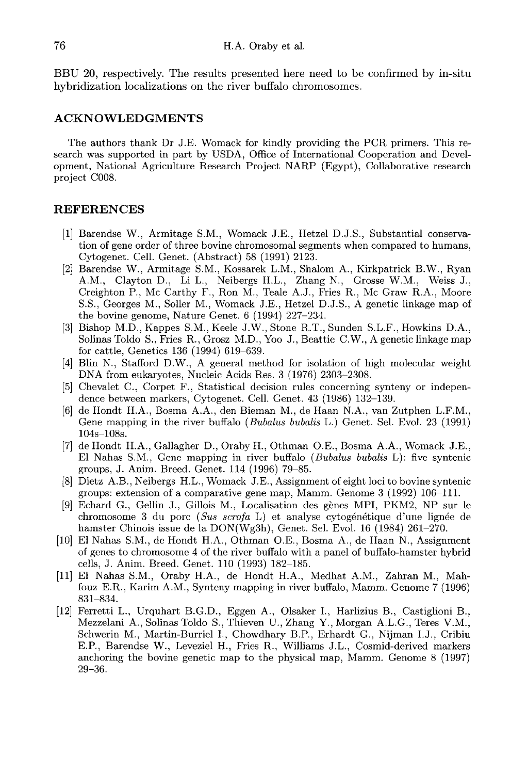BBU 20, respectively. The results presented here need to be confirmed by in-situ hybridization localizations on the river buffalo chromosomes.

#### ACKNOWLEDGMENTS

The authors thank Dr J.E. Womack for kindly providing the PCR primers. This research was supported in part by USDA, Office of International Cooperation and Development, National Agriculture Research Project NARP (Egypt), Collaborative research project C008.

#### REFERENCES

- [1] Barendse W., Armitage S.M., Womack J.E., Hetzel D.J.S., Substantial conservation of gene order of three bovine chromosomal segments when compared to humans, Cytogenet. Cell. Genet. (Abstract) 58 (1991) 2123.
- [2] Barendse W., Armitage S.M., Kossarek L.M., Shalom A., Kirkpatrick B.W., Ryan A.M., Clayton D., Li L., Neibergs H.L., Zhang N., Grosse W.M., Weiss J., Creighton P., Mc Carthy F., Ron M., Teale A.J., Fries R., Mc Graw R.A., Moore S.S., Georges M., Soller M., Womack J.E., Hetzel D.J.S., A genetic linkage map of the bovine genome, Nature Genet. 6 (1994) 227-234.
- [3] Bishop M.D., Kappes S.M., Keele J.W., Stone R.T., Sunden S.L.F., Howkins D.A., Solinas Toldo S., Fries R., Grosz M.D., Yoo J., Beattie C.W., A genetic linkage map for cattle, Genetics 136 (1994) 619-639.
- [4] Blin N., Stafford D.W., A general method for isolation of high molecular weight DNA from eukaryotes, Nucleic Acids Res. 3 (1976) 2303-2308.
- [5] Chevalet C., Corpet F., Statistical decision rules concerning synteny or independence between markers, Cytogenet. Cell. Genet. 43 (1986) 132-139.
- [6] de Hondt H.A., Bosma A.A., den Bieman M., de Haan N.A., van Zutphen L.F.M., Gene mapping in the river buffalo (Bubalus bubalis L.) Genet. Sel. Evol. 23 (1991) 104s-108s.
- [7] de Hondt H.A., Gallagher D., Oraby H., Othman O.E., Bosma A.A., Womack J.E., El Nahas S.M., Gene mapping in river buffalo (Bubalus bubalis L): five syntenic groups, J. Anim. Breed. Genet. 114 (1996) 79-85.
- [8] Dietz A.B., Neibergs H.L., Womack J.E., Assignment of eight loci to bovine syntenic groups: extension of a comparative gene map, Mamm. Genome 3 (1992) 106-111.
- [9] Echard G., Gellin J., Gillois M., Localisation des genes MPI, PKM2, NP sur le chromosome 3 du porc (Sus scrofa L) et analyse cytogénétique d'une lignée de hamster Chinois issue de la DON(Wg3h), Genet. Sel. Evol. 16 (1984) 261-270.
- [10] El Nahas S.M., de Hondt H.A., Othman O.E., Bosma A., de Haan N., Assignment of genes to chromosome 4 of the river buffalo with a panel of buffalo-hamster hybrid cells, J. Anim. Breed. Genet. 110 (1993) 182-185.
- [11] El Nahas S.M., Oraby H.A., de Hondt H.A., Medhat A.M., Zahran M., Mahfouz E.R., Karim A.M., Synteny mapping in river buffalo, Mamm. Genome 7 (1996) 831-834.
- [12] Ferretti L., Urquhart B.G.D., Eggen A., Olsaker I., Harlizius B., Castiglioni B., Mezzelani A., Solinas Toldo S., Thieven U., Zhang Y., Morgan A.L.G., Teres V.M., Schwerin M., Martin-Burriel L, Chowdhary B.P., Erhardt G., Nijman I.J., Cribiu E.P., Barendse W., Leveziel H., Fries R., Williams J.L., Cosmid-derived markers anchoring the bovine genetic map to the physical map, Mamm. Genome 8 (1997) 29-36.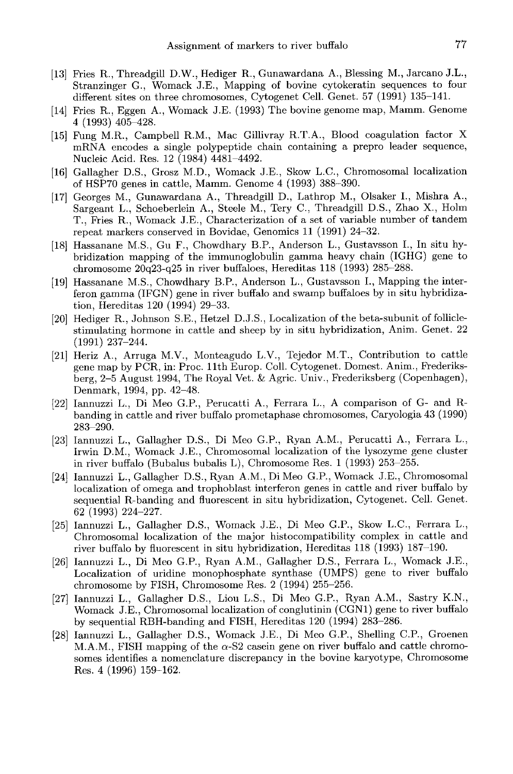- [13] Fries R., Threadgill D.W., Hediger R., Gunawardana A., Blessing M., Jarcano J.L., Stranzinger G., Womack J.E., Mapping of bovine cytokeratin sequences to four different sites on three chromosomes, Cytogenet Cell. Genet. 57 (1991) 135-141.
- [14] Fries R., Eggen A., Womack J.E. (1993) The bovine genome map, Mamm. Genome 4 (1993) 405-428.
- [15] Fung M.R., Campbell R.M., Mac Gillivray R.T.A., Blood coagulation factor X mRNA encodes a single polypeptide chain containing a prepro leader sequence, Nucleic Acid. Res. 12 (1984) 4481-4492.
- [16] Gallagher D.S., Grosz M.D., Womack J.E., Skow L.C., Chromosomal localization of HSP70 genes in cattle, Mamm. Genome 4 (1993) 388-390.
- [17] Georges M., Gunawardana A., Threadgill D., Lathrop M., Olsaker I., Mishra A., Sargeant L., Schoeberlein A., Steele M., Tery C., Threadgill D.S., Zhao X., Holm T., Fries R., Womack J.E., Characterization of a set of variable number of tandem repeat markers conserved in Bovidae, Genomics 11 (1991) 24-32.
- [18] Hassanane M.S., Gu F., Chowdhary B.P., Anderson L., Gustavsson I., In situ hybridization mapping of the immunoglobulin gamma heavy chain (IGHG) gene to chromosome 20q23-q25 in river buffaloes, Hereditas 118 (1993) 285-288.
- [19] Hassanane M.S., Chowdhary B.P., Anderson L., Gustavsson I., Mapping the interferon gamma (IFGN) gene in river buffalo and swamp buffaloes by in situ hybridization, Hereditas 120 (1994) 29-33.
- [20] Hediger R., Johnson S.E., Hetzel D.J.S., Localization of the beta-subunit of folliclestimulating hormone in cattle and sheep by in situ hybridization, Anim. Genet. 22 (1991) 237-244.
- [21] Heriz A., Arruga M.V., Monteagudo L.V., Tejedor M.T., Contribution to cattle gene map by PCR, in: Proc. llth Europ. Coll. Cytogenet. Domest. Anim., Frederiksberg, 2-5 August 1994, The Royal Vet. & Agric. Univ., Frederiksberg (Copenhagen), Denmark, 1994, pp. 42-48.
- [22] lannuzzi L., Di Meo G.P., Perucatti A., Ferrara L., A comparison of G- and Rbanding in cattle and river buffalo prometaphase chromosomes, Caryologia 43 (1990) 283-290.
- [23] lannuzzi L., Gallagher D.S., Di Meo G.P., Ryan A.M., Perucatti A., Ferrara L., Irwin D.M., Womack J.E., Chromosomal localization of the lysozyme gene cluster in river buffalo (Bubalus bubalis L), Chromosome Res. 1 (1993) 253-255.
- [24] lannuzzi L., Gallagher D.S., Ryan A.M., Di Meo G.P., Womack J.E., Chromosomal localization of omega and trophoblast interferon genes in cattle and river buffalo by sequential R-banding and fluorescent in situ hybridization, Cytogenet. Cell. Genet. 62 (1993) 224-227.
- [25] lannuzzi L., Gallagher D.S., Womack J.E., Di Meo G.P., Skow L.C., Ferrara L., Chromosomal localization of the major histocompatibility complex in cattle and river buffalo by fluorescent in situ hybridization, Hereditas 118 (1993) 187-190.
- [26] lannuzzi L., Di Meo G.P., Ryan A.M., Gallagher D.S., Ferrara L., Womack J.E., Localization of uridine monophosphate synthase (UMPS) gene to river buffalo chromosome by FISH, Chromosome Res. 2 (1994) 255-256.
- [27] lannuzzi L., Gallagher D.S., Liou L.S., Di Meo G.P., Ryan A.M., Sastry K.N., Womack J.E., Chromosomal localization of conglutinin (CGN1) gene to river buffalo by sequential RBH-banding and FISH, Hereditas 120 (1994) 283-286.
- [28] lannuzzi L., Gallagher D.S., Womack J.E., Di Meo G.P., Shelling C.P., Groenen M.A.M., FISH mapping of the  $\alpha$ -S2 casein gene on river buffalo and cattle chromosomes identifies a nomenclature discrepancy in the bovine karyotype, Chromosome Res. 4 (1996) 159-162.